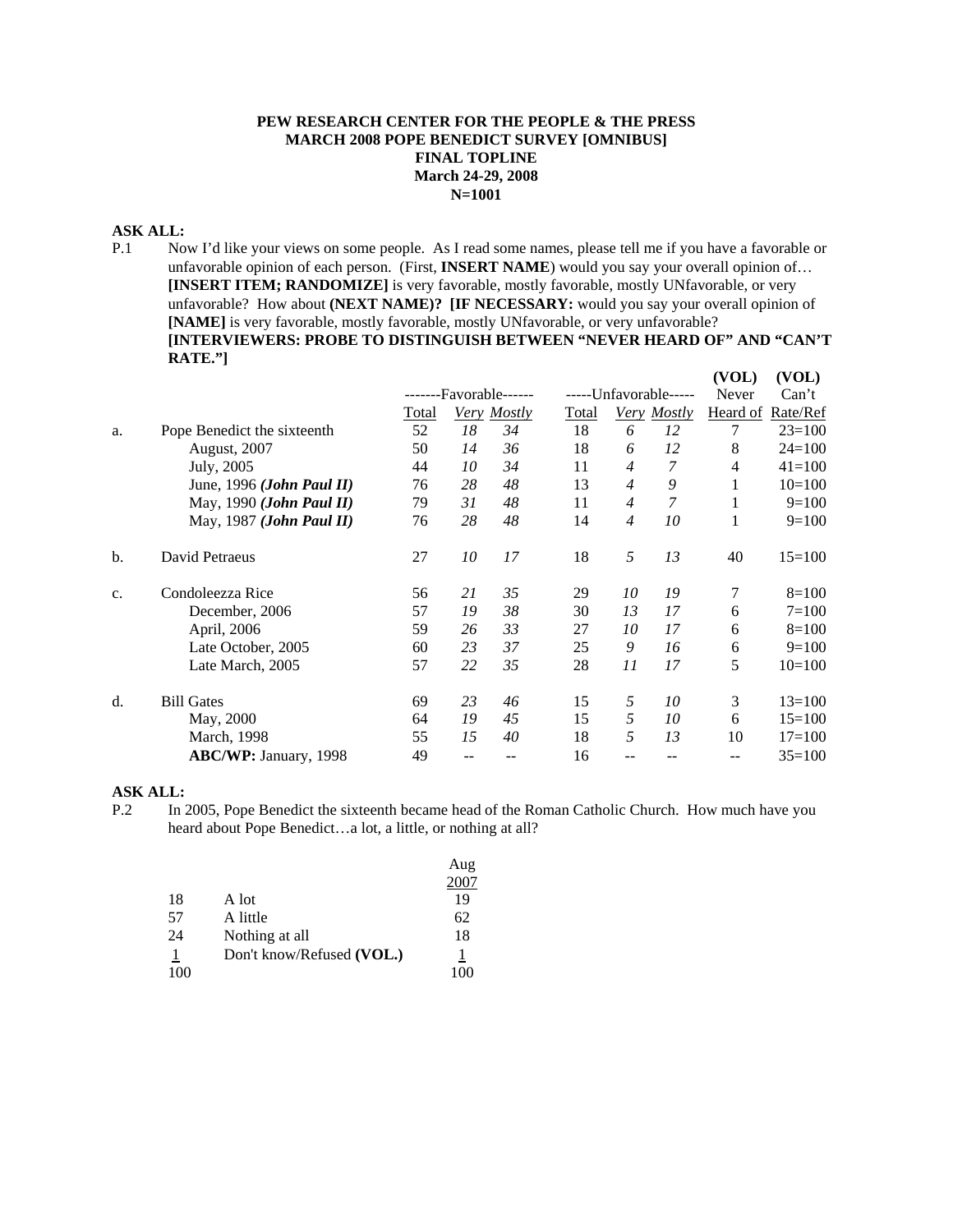## **PEW RESEARCH CENTER FOR THE PEOPLE & THE PRESS MARCH 2008 POPE BENEDICT SURVEY [OMNIBUS] FINAL TOPLINE March 24-29, 2008 N=1001**

## **ASK ALL:**

P.1 Now I'd like your views on some people. As I read some names, please tell me if you have a favorable or unfavorable opinion of each person. (First, **INSERT NAME**) would you say your overall opinion of… **[INSERT ITEM; RANDOMIZE]** is very favorable, mostly favorable, mostly UNfavorable, or very unfavorable? How about **(NEXT NAME)? [IF NECESSARY:** would you say your overall opinion of **[NAME]** is very favorable, mostly favorable, mostly UNfavorable, or very unfavorable? **[INTERVIEWERS: PROBE TO DISTINGUISH BETWEEN "NEVER HEARD OF" AND "CAN'T RATE."] (VOL) (VOL)**

|    |                                    |                  |    |             |                       |                |             | (VOL)    | (VOL)      |
|----|------------------------------------|------------------|----|-------------|-----------------------|----------------|-------------|----------|------------|
|    |                                    | -Favorable------ |    |             | -----Unfavorable----- |                | Never       | Can't    |            |
|    |                                    | Total            |    | Very Mostly | <b>Total</b>          |                | Very Mostly | Heard of | Rate/Ref   |
| a. | Pope Benedict the sixteenth        | 52               | 18 | 34          | 18                    | 6              | 12          | 7        | $23=100$   |
|    | <b>August, 2007</b>                | 50               | 14 | 36          | 18                    | 6              | 12          | 8        | $24 = 100$ |
|    | July, 2005                         | 44               | 10 | 34          | 11                    | $\overline{4}$ | 7           | 4        | $41 = 100$ |
|    | June, 1996 ( <i>John Paul II</i> ) | 76               | 28 | 48          | 13                    | $\overline{4}$ | 9           |          | $10=100$   |
|    | May, 1990 ( <i>John Paul II</i> )  | 79               | 31 | 48          | 11                    | $\overline{4}$ | 7           |          | $9=100$    |
|    | May, 1987 (John Paul II)           | 76               | 28 | 48          | 14                    | $\overline{4}$ | 10          |          | $9=100$    |
| b. | David Petraeus                     | 27               | 10 | 17          | 18                    | 5              | 13          | 40       | $15=100$   |
| c. | Condoleezza Rice                   | 56               | 21 | 35          | 29                    | 10             | 19          | 7        | $8=100$    |
|    | December, 2006                     | 57               | 19 | 38          | 30                    | 13             | 17          | 6        | $7=100$    |
|    | April, 2006                        | 59               | 26 | 33          | 27                    | 10             | 17          | 6        | $8=100$    |
|    | Late October, 2005                 | 60               | 23 | 37          | 25                    | 9              | 16          | 6        | $9=100$    |
|    | Late March, 2005                   | 57               | 22 | 35          | 28                    | 11             | 17          | 5        | $10=100$   |
| d. | <b>Bill Gates</b>                  | 69               | 23 | 46          | 15                    | 5              | 10          | 3        | $13=100$   |
|    | May, 2000                          | 64               | 19 | 45          | 15                    | 5              | 10          | 6        | $15=100$   |
|    | March, 1998                        | 55               | 15 | 40          | 18                    | 5              | 13          | 10       | $17 = 100$ |
|    | ABC/WP: January, 1998              | 49               |    |             | 16                    |                |             |          | $35 = 100$ |
|    |                                    |                  |    |             |                       |                |             |          |            |

#### **ASK ALL:**

P.2 In 2005, Pope Benedict the sixteenth became head of the Roman Catholic Church. How much have you heard about Pope Benedict…a lot, a little, or nothing at all?

|     |                           | Aug  |
|-----|---------------------------|------|
|     |                           | 2007 |
| 18  | A lot                     | 19   |
| 57  | A little                  | 62   |
| 24  | Nothing at all            | 18   |
|     | Don't know/Refused (VOL.) |      |
| 100 |                           | 100  |